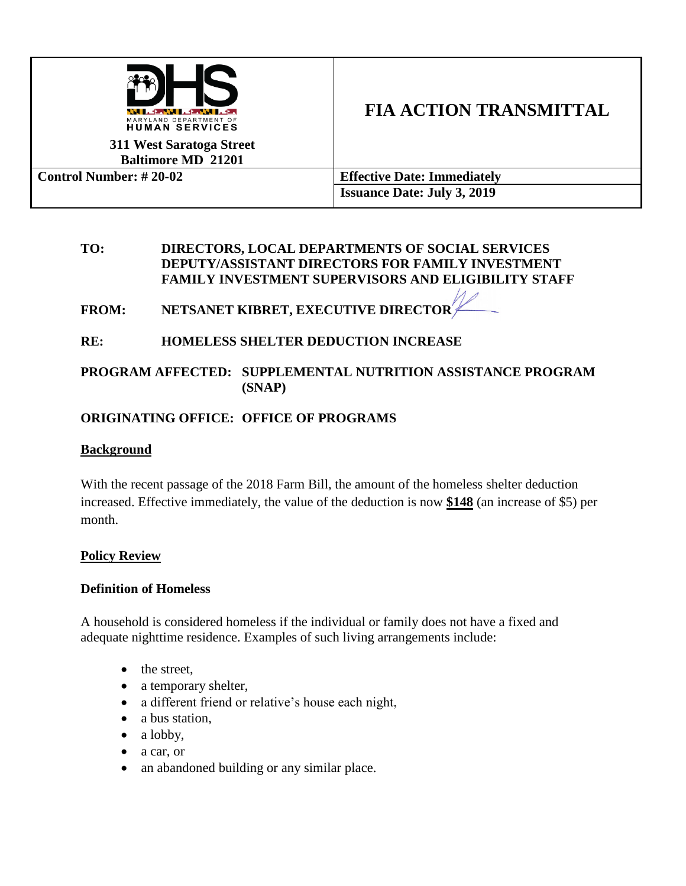

# **FIA ACTION TRANSMITTAL**

**311 West Saratoga Street Baltimore MD 21201**

| <b>Control Number:</b> $\# 20-02$ | <b>Effective Date: Immediately</b> |
|-----------------------------------|------------------------------------|
|                                   | <b>Issuance Date: July 3, 2019</b> |

#### **TO: DIRECTORS, LOCAL DEPARTMENTS OF SOCIAL SERVICES DEPUTY/ASSISTANT DIRECTORS FOR FAMILY INVESTMENT FAMILY INVESTMENT SUPERVISORS AND ELIGIBILITY STAFF**

FROM: NETSANET KIBRET, EXECUTIVE DIRECTOR<sup>'</sup>

# **RE: HOMELESS SHELTER DEDUCTION INCREASE**

## **PROGRAM AFFECTED: SUPPLEMENTAL NUTRITION ASSISTANCE PROGRAM (SNAP)**

# **ORIGINATING OFFICE: OFFICE OF PROGRAMS**

### **Background**

With the recent passage of the 2018 Farm Bill, the amount of the homeless shelter deduction increased. Effective immediately, the value of the deduction is now **\$148** (an increase of \$5) per month.

# **Policy Review**

#### **Definition of Homeless**

A household is considered homeless if the individual or family does not have a fixed and adequate nighttime residence. Examples of such living arrangements include:

- the street,
- a temporary shelter,
- a different friend or relative's house each night,
- a bus station,
- $\bullet$  a lobby,
- a car, or
- an abandoned building or any similar place.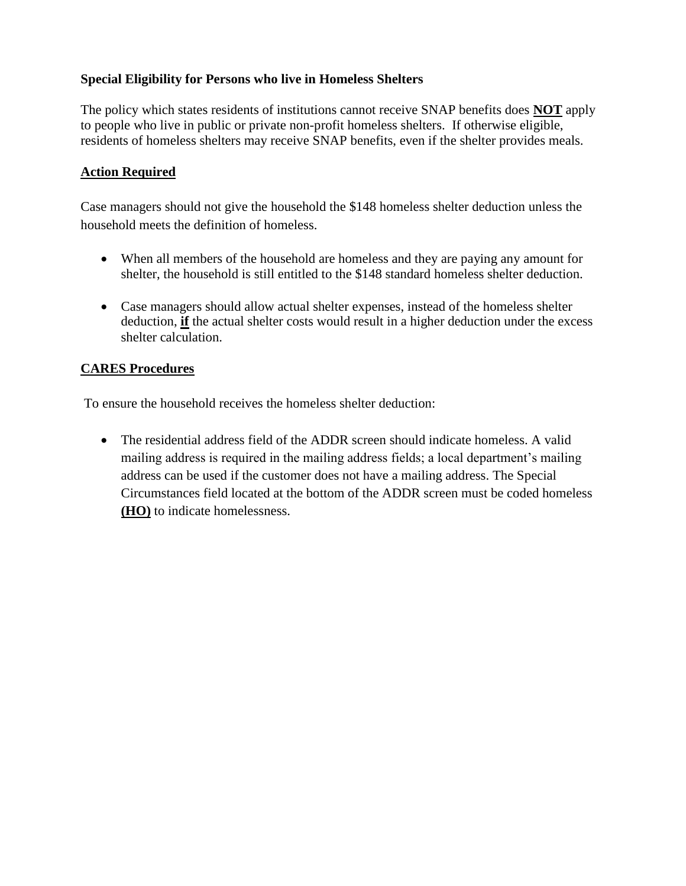## **Special Eligibility for Persons who live in Homeless Shelters**

The policy which states residents of institutions cannot receive SNAP benefits does **NOT** apply to people who live in public or private non-profit homeless shelters. If otherwise eligible, residents of homeless shelters may receive SNAP benefits, even if the shelter provides meals.

## **Action Required**

Case managers should not give the household the \$148 homeless shelter deduction unless the household meets the definition of homeless.

- When all members of the household are homeless and they are paying any amount for shelter, the household is still entitled to the \$148 standard homeless shelter deduction.
- Case managers should allow actual shelter expenses, instead of the homeless shelter deduction, **if** the actual shelter costs would result in a higher deduction under the excess shelter calculation.

## **CARES Procedures**

To ensure the household receives the homeless shelter deduction:

 The residential address field of the ADDR screen should indicate homeless. A valid mailing address is required in the mailing address fields; a local department's mailing address can be used if the customer does not have a mailing address. The Special Circumstances field located at the bottom of the ADDR screen must be coded homeless **(HO)** to indicate homelessness.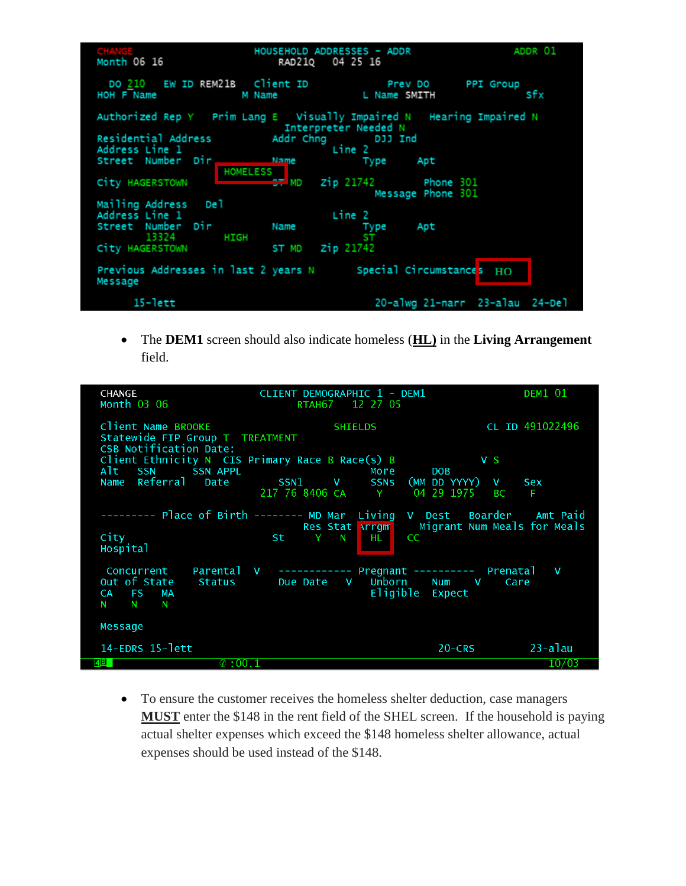| Month 06 16                                           | HOUSEHOLD ADDRESSES - ADDR<br>04 25 16<br>RAD210                                            | ADDR 01                 |
|-------------------------------------------------------|---------------------------------------------------------------------------------------------|-------------------------|
| DO 210 EW ID REM21B Client ID<br>HOH F Name<br>M Name | Prev DO<br>L Name SMITH                                                                     | <b>PPI Group</b><br>sfx |
|                                                       | Authorized Rep Y Prim Lang E Visually Impaired N Hearing Impaired N<br>Interpreter Needed N |                         |
| Residential Address                                   | Addr Chng DJJ Ind                                                                           |                         |
| Address Line 1                                        | Line 2                                                                                      |                         |
| Street Number Dir                                     | Name<br>Type <u>Type</u><br>Apt                                                             |                         |
| HOMELESS<br>City HAGERSTOWN                           | $27 \text{ MD}$ zip 21742 Phone 301<br>Message Phone 301                                    |                         |
| Mailing Address<br>De 1                               |                                                                                             |                         |
| Address Line 1                                        | Line 2                                                                                      |                         |
| Street Number Dir<br>13324 HIGH                       | Name<br>Type<br>Apt<br>ST                                                                   |                         |
| City HAGERSTOWN                                       | Zip 21742<br>ST MD                                                                          |                         |
| Message                                               | Previous Addresses in last 2 years $N$ Special Circumstances $H_O$                          |                         |
| $15 - lett$                                           | 20-alwg 21-narr 23-alau 24-Del                                                              |                         |

 The **DEM1** screen should also indicate homeless (**HL)** in the **Living Arrangement** field.

| <b>CHANGE</b><br>Month 03 06                                                                                        | CLIENT DEMOGRAPHIC 1 - DEM1<br>RTAH67 12 27 05                                                          | <b>DEM1 01</b>                                                  |
|---------------------------------------------------------------------------------------------------------------------|---------------------------------------------------------------------------------------------------------|-----------------------------------------------------------------|
| Client Name BROOKE<br>Statewide FIP Group T TREATMENT<br><b>CSB Notification Date:</b>                              | <b>SHIELDS</b>                                                                                          | CL ID 491022496                                                 |
| Client Ethnicity N CIS Primary Race B Race(s) $B$<br><b>SSN APPL</b><br><b>SSN</b><br>Alt.<br>Referral Date<br>Name | More<br>SSN1 V<br>217 76 8406 CA Y<br>04 29 1975                                                        | V S<br><b>DOB</b><br>SSNs (MM DD YYYY) V Sex<br><b>BC</b><br>-F |
| City                                                                                                                | -------- Place of Birth ------- MD Mar Living V Dest Boarder Amt Paid<br>St Y<br><b>N</b><br>HL -<br>cc | Res Stat Arrow Migrant Num Meals for Meals                      |
| Hospital<br>Concurrent<br>Out of State<br>Status<br><b>FS</b><br><b>MA</b><br>CA<br>N<br>N.<br>N                    | Parental V ------------ Pregnant --------- Prenatal V<br>Unborn Num V<br>Due Date V<br>Eligible Expect  | Care                                                            |
| Message                                                                                                             |                                                                                                         |                                                                 |
| 14-EDRS 15-lett<br>4 <u>B</u> 1<br>$\circ$ :00.1                                                                    |                                                                                                         | $23 - a$ lau<br>$20 - CRS$<br>10/03                             |

 To ensure the customer receives the homeless shelter deduction, case managers **MUST** enter the \$148 in the rent field of the SHEL screen. If the household is paying actual shelter expenses which exceed the \$148 homeless shelter allowance, actual expenses should be used instead of the \$148.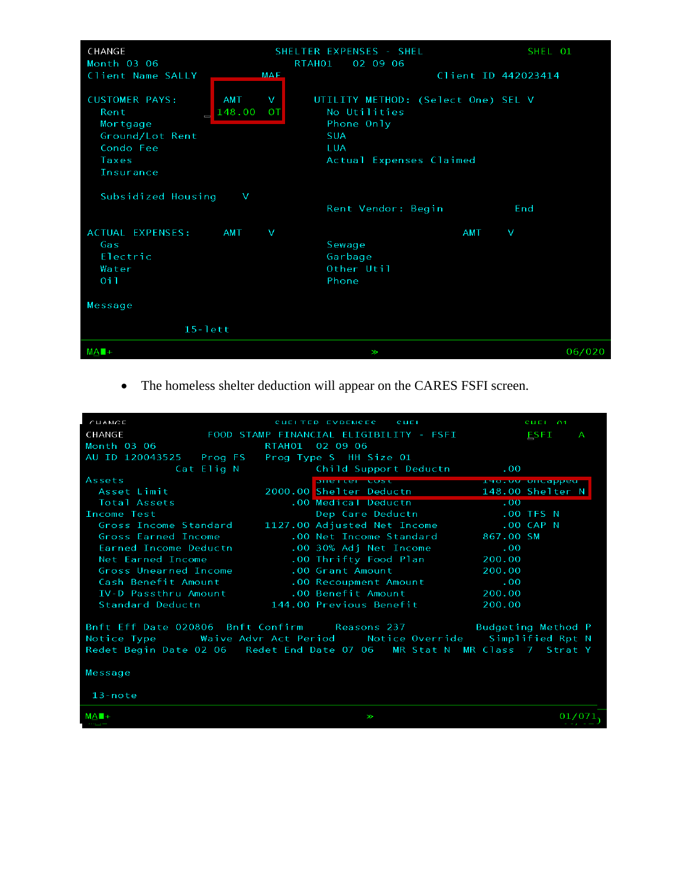| CHANGE                                                                                          |                                             | SHELTER EXPENSES - SHEL                                                                                          | SHEL 01             |
|-------------------------------------------------------------------------------------------------|---------------------------------------------|------------------------------------------------------------------------------------------------------------------|---------------------|
| Month 03 06                                                                                     |                                             | RTAH01<br>02 09 06                                                                                               |                     |
| Client Name SALLY<br>MAF                                                                        |                                             |                                                                                                                  | Client ID 442023414 |
| <b>CUSTOMER PAYS:</b><br>Rent<br>Mortgage<br>Ground/Lot Rent<br>Condo Fee<br>Taxes<br>Insurance | <b>AMT</b><br>v<br>148.00<br>0 <sup>T</sup> | UTILITY METHOD: (Select One) SEL V<br>No Utilities<br>Phone Only<br><b>SUA</b><br>LUA<br>Actual Expenses Claimed |                     |
| Subsidized Housing<br>V                                                                         |                                             |                                                                                                                  |                     |
|                                                                                                 |                                             | Rent Vendor: Begin                                                                                               | End                 |
| ACTUAL EXPENSES:<br>Gas<br>Electric<br>Water<br>0 <sub>i</sub>                                  | <b>AMT</b><br>V                             | Sewage<br>Garbage<br>Other Util<br>Phone                                                                         | <b>AMT</b><br>V     |
| Message                                                                                         |                                             |                                                                                                                  |                     |
| $15 - lett$                                                                                     |                                             |                                                                                                                  |                     |
| $MA$ <sup>+</sup>                                                                               |                                             | W                                                                                                                | 06/020              |

The homeless shelter deduction will appear on the CARES FSFI screen.

| CHANGE                                                                          |            | CHEITER EVPENCES _ CHEI                  |           | SHEL 01       |              |
|---------------------------------------------------------------------------------|------------|------------------------------------------|-----------|---------------|--------------|
| CHANGE                                                                          |            | FOOD STAMP FINANCIAL ELIGIBILITY - FSFI  |           | ESFI          | $\mathsf{A}$ |
| Month 03 06                                                                     |            | RTAH01 02 09 06                          |           |               |              |
| AU ID 120043525 Prog FS                                                         |            | Prog Type S HH Size 01                   |           |               |              |
|                                                                                 | Cat Elig N | Child Support Deductn                    | $\sim 00$ |               |              |
| Assets                                                                          |            | prie remediate and the thoroughped       |           |               |              |
| Asset Limit                                                                     |            | 2000.00 Shelter Deductn 148.00 Shelter N |           |               |              |
| Total Assets                                                                    |            | .00 Medical Deductn                      | 00.       |               |              |
| Income Test                                                                     |            | Dep Care Deductn                         |           | $.00$ TFS $N$ |              |
| Gross Income Standard 1127.00 Adjusted Net Income                               |            |                                          |           | $.00$ CAP N   |              |
| Gross Earned Income                                                             |            | .00 Net Income Standard                  | 867.00 SM |               |              |
| Earned Income Deductn                                                           |            | .00 30% Adj Net Income                   | .00       |               |              |
| Net Earned Income                                                               |            | .00 Thrifty Food Plan                    | 200.00    |               |              |
| Gross Unearned Income                                                           |            | .00 Grant Amount                         | 200.00    |               |              |
| Cash Benefit Amount                                                             |            | .00 Recoupment Amount                    | $\sim 00$ |               |              |
| IV-D Passthru Amount                                                            |            | .00 Benefit Amount                       | 200.00    |               |              |
| Standard Deductn 144.00 Previous Benefit                                        |            |                                          | 200.00    |               |              |
| Bnft Eff Date 020806 Bnft Confirm Reasons 237 Budgeting Method P                |            |                                          |           |               |              |
| Notice Type       Waive Advr Act Period     Notice Override    Simplified Rpt N |            |                                          |           |               |              |
| Redet Begin Date 02 06 Redet End Date 07 06 MR Stat N MR Class 7 Strat Y        |            |                                          |           |               |              |
| Message                                                                         |            |                                          |           |               |              |
| $13$ -note                                                                      |            |                                          |           |               |              |
|                                                                                 |            | V                                        |           |               |              |